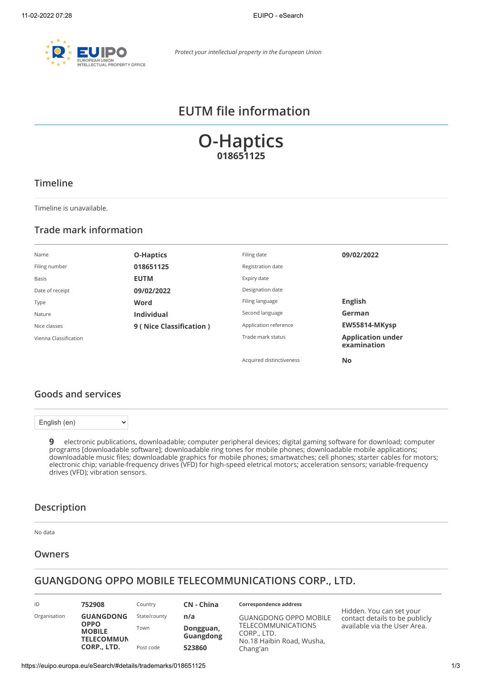

# **EUTM file information**

**O-Haptics 018651125**

## **Timeline**

Timeline is unavailable.

## **Trade mark information**

| Name                  | <b>O-Haptics</b>        | Filing date              | 09/02/2022                              |
|-----------------------|-------------------------|--------------------------|-----------------------------------------|
| Filing number         | 018651125               | Registration date        |                                         |
| Basis                 | <b>EUTM</b>             | Expiry date              |                                         |
| Date of receipt       | 09/02/2022              | Designation date         |                                         |
| Type                  | Word                    | Filing language          | <b>English</b>                          |
| Nature                | <b>Individual</b>       | Second language          | German                                  |
| Nice classes          | 9 (Nice Classification) | Application reference    | EW55814-MKysp                           |
| Vienna Classification |                         | Trade mark status        | <b>Application under</b><br>examination |
|                       |                         | Acquired distinctiveness | <b>No</b>                               |

## **Goods and services**

English (en)

 $\ddot{\phantom{1}}$ 

**9** electronic publications, downloadable; computer peripheral devices; digital gaming software for download; computer programs [downloadable software]; downloadable ring tones for mobile phones; downloadable mobile applications; downloadable music files; downloadable graphics for mobile phones; smartwatches; cell phones; starter cables for motors; electronic chip; variable-frequency drives (VFD) for high-speed eletrical motors; acceleration sensors; variable-frequency drives (VFD); vibration sensors.

### **Description**

No data

## **Owners**

## **GUANGDONG OPPO MOBILE TELECOMMUNICATIONS CORP., LTD.**

| ID           | 752908                                            | Country      | <b>CN</b> - China             |
|--------------|---------------------------------------------------|--------------|-------------------------------|
| Organisation | <b>GUANGDONG</b>                                  | State/county | n/a                           |
|              | <b>OPPO</b><br><b>MOBILE</b><br><b>TELECOMMUN</b> | Town         | Dongguan,<br><b>Guangdong</b> |
|              | CORP., LTD.                                       | Post code    | 523860                        |

#### **Correspondence address**

GUANGDONG OPPO MOBILE TELECOMMUNICATIONS CORP., LTD. No.18 Haibin Road, Wusha, Chang'an

Hidden. You can set your contact details to be publicly available via the [User Area.](https://euipo.europa.eu/ohimportal/web/guest/login)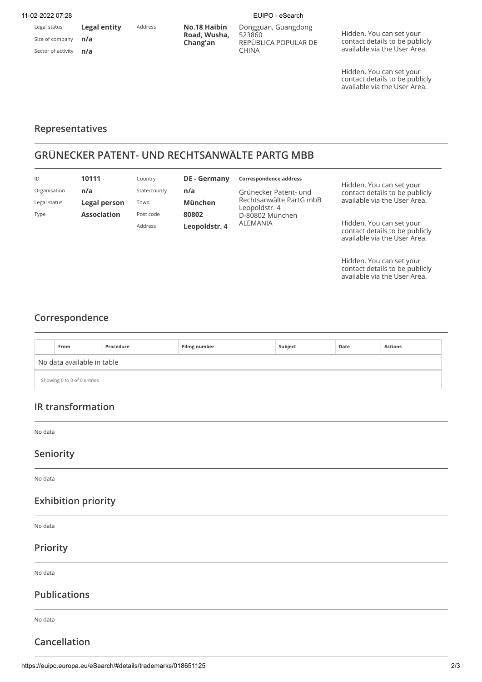#### 11-02-2022 07:28 EUIPO - eSearch

Legal status Size of company Sector of activity

**n/a n/a**

**Legal entity**

Address **No.18 Haibin Road, Wusha, Chang'an**

Dongguan, Guangdong 523860 REPÚBLICA POPULAR DE CHINA

Hidden. You can set your contact details to be publicly available via the [User Area.](https://euipo.europa.eu/ohimportal/web/guest/login)

Hidden. You can set your contact details to be publicly available via the [User Area.](https://euipo.europa.eu/ohimportal/web/guest/login)

### **Representatives**

## **GRÜNECKER PATENT- UND RECHTSANWÄLTE PARTG MBB**

| ID           | 10111              | Country      | <b>DE</b> - Germany | Correspondence address                   | Hidden. You can set your<br>contact details to be publicly                                 |
|--------------|--------------------|--------------|---------------------|------------------------------------------|--------------------------------------------------------------------------------------------|
| Organisation | n/a                | State/county | n/a                 | Grünecker Patent- und                    |                                                                                            |
| Legal status | Legal person       | Town         | <b>München</b>      | Rechtsanwälte PartG mbB<br>Leopoldstr. 4 | available via the User Area.                                                               |
| Type         | <b>Association</b> | Post code    | 80802               | D-80802 München                          |                                                                                            |
|              |                    | Address      | Leopoldstr. 4       | ALEMANIA                                 | Hidden. You can set your<br>contact details to be publicly<br>available via the User Area. |

Hidden. You can set your contact details to be publicly available via the [User Area.](https://euipo.europa.eu/ohimportal/web/guest/login)

## **Correspondence**

|                            | From                        | Procedure | <b>Filing number</b> | Subject | Date | <b>Actions</b> |
|----------------------------|-----------------------------|-----------|----------------------|---------|------|----------------|
|                            | No data available in table  |           |                      |         |      |                |
|                            | Showing 0 to 0 of 0 entries |           |                      |         |      |                |
|                            |                             |           |                      |         |      |                |
|                            | IR transformation           |           |                      |         |      |                |
| No data                    |                             |           |                      |         |      |                |
| Seniority                  |                             |           |                      |         |      |                |
| No data                    |                             |           |                      |         |      |                |
| <b>Exhibition priority</b> |                             |           |                      |         |      |                |
| No data                    |                             |           |                      |         |      |                |
| Priority                   |                             |           |                      |         |      |                |
| No data                    |                             |           |                      |         |      |                |
| <b>Publications</b>        |                             |           |                      |         |      |                |
| No data                    |                             |           |                      |         |      |                |

**Cancellation**